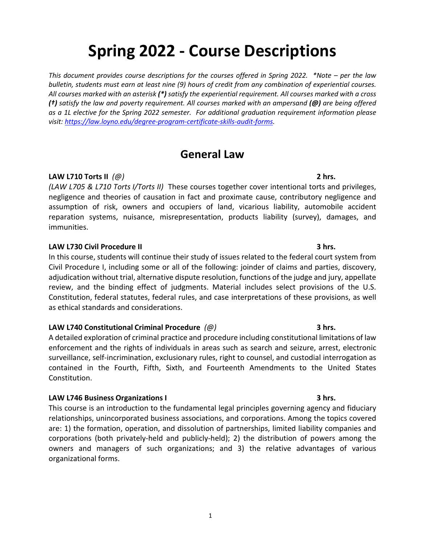# **Spring 2022 - Course Descriptions**

*This document provides course descriptions for the courses offered in Spring 2022. \*Note – per the law bulletin, students must earn at least nine (9) hours of credit from any combination of experiential courses. All courses marked with an asterisk (\*) satisfy the experiential requirement. All courses marked with a cross (†) satisfy the law and poverty requirement. All courses marked with an ampersand (@) are being offered as a 1L elective for the Spring 2022 semester. For additional graduation requirement information please visit: [https://law.loyno.edu/degree-program-certificate-skills-audit-forms.](https://law.loyno.edu/degree-program-certificate-skills-audit-forms)*

# **General Law**

### **LAW L710 Torts II** *(@)* **2 hrs.**

*(LAW L705 & L710 Torts I/Torts II)* These courses together cover intentional torts and privileges, negligence and theories of causation in fact and proximate cause, contributory negligence and assumption of risk, owners and occupiers of land, vicarious liability, automobile accident reparation systems, nuisance, misrepresentation, products liability (survey), damages, and immunities.

### **LAW L730 Civil Procedure II 3 hrs.**

In this course, students will continue their study of issues related to the federal court system from Civil Procedure I, including some or all of the following: joinder of claims and parties, discovery, adjudication without trial, alternative dispute resolution, functions of the judge and jury, appellate review, and the binding effect of judgments. Material includes select provisions of the U.S. Constitution, federal statutes, federal rules, and case interpretations of these provisions, as well as ethical standards and considerations.

### **LAW L740 Constitutional Criminal Procedure** *(@)* **3 hrs.**

A detailed exploration of criminal practice and procedure including constitutional limitations of law enforcement and the rights of individuals in areas such as search and seizure, arrest, electronic surveillance, self-incrimination, exclusionary rules, right to counsel, and custodial interrogation as contained in the Fourth, Fifth, Sixth, and Fourteenth Amendments to the United States Constitution.

### **LAW L746 Business Organizations I 3 hrs.**

This course is an introduction to the fundamental legal principles governing agency and fiduciary relationships, unincorporated business associations, and corporations. Among the topics covered are: 1) the formation, operation, and dissolution of partnerships, limited liability companies and corporations (both privately-held and publicly-held); 2) the distribution of powers among the owners and managers of such organizations; and 3) the relative advantages of various organizational forms.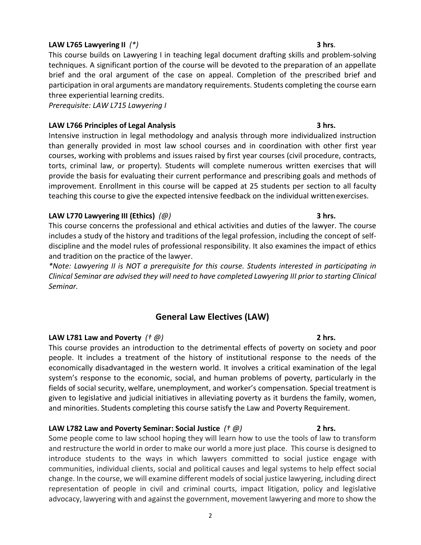### **LAW L765 Lawyering II** *(\*)* **3 hrs**.

This course builds on Lawyering I in teaching legal document drafting skills and problem-solving techniques. A significant portion of the course will be devoted to the preparation of an appellate brief and the oral argument of the case on appeal. Completion of the prescribed brief and participation in oral arguments are mandatory requirements. Students completing the course earn three experiential learning credits.

*Prerequisite: LAW L715 Lawyering I*

### **LAW L766 Principles of Legal Analysis 3 hrs.**

Intensive instruction in legal methodology and analysis through more individualized instruction than generally provided in most law school courses and in coordination with other first year courses, working with problems and issues raised by first year courses (civil procedure, contracts, torts, criminal law, or property). Students will complete numerous written exercises that will provide the basis for evaluating their current performance and prescribing goals and methods of improvement. Enrollment in this course will be capped at 25 students per section to all faculty teaching this course to give the expected intensive feedback on the individual writtenexercises.

### **LAW L770 Lawyering III (Ethics)** *(@)* **3 hrs.**

This course concerns the professional and ethical activities and duties of the lawyer. The course includes a study of the history and traditions of the legal profession, including the concept of selfdiscipline and the model rules of professional responsibility. It also examines the impact of ethics and tradition on the practice of the lawyer.

*\*Note: Lawyering II is NOT a prerequisite for this course. Students interested in participating in Clinical Seminar are advised they will need to have completed Lawyering III prior to starting Clinical Seminar.*

### **General Law Electives (LAW)**

### **LAW L781 Law and Poverty** *(† @)* **2 hrs.**

This course provides an introduction to the detrimental effects of poverty on society and poor people. It includes a treatment of the history of institutional response to the needs of the economically disadvantaged in the western world. It involves a critical examination of the legal system's response to the economic, social, and human problems of poverty, particularly in the fields of social security, welfare, unemployment, and worker's compensation. Special treatment is given to legislative and judicial initiatives in alleviating poverty as it burdens the family, women, and minorities. Students completing this course satisfy the Law and Poverty Requirement.

### **LAW L782 Law and Poverty Seminar: Social Justice** *(† @)* **2 hrs.**

Some people come to law school hoping they will learn how to use the tools of law to transform and restructure the world in order to make our world a more just place. This course is designed to introduce students to the ways in which lawyers committed to social justice engage with communities, individual clients, social and political causes and legal systems to help effect social change. In the course, we will examine different models of social justice lawyering, including direct representation of people in civil and criminal courts, impact litigation, policy and legislative advocacy, lawyering with and against the government, movement lawyering and more to show the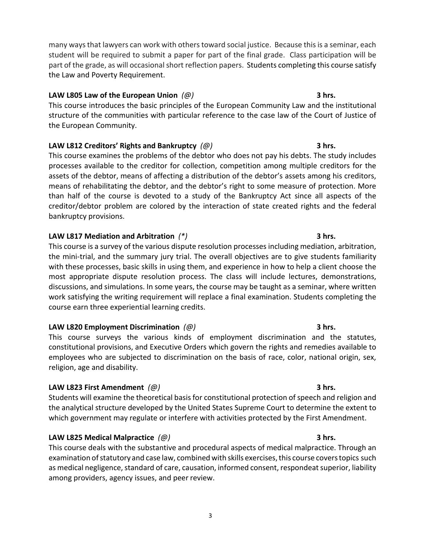many ways that lawyers can work with others toward social justice. Because this is a seminar, each student will be required to submit a paper for part of the final grade. Class participation will be part of the grade, as will occasional short reflection papers. Students completing this course satisfy the Law and Poverty Requirement.

### **LAW L805 Law of the European Union** *(@)* **3 hrs.**

This course introduces the basic principles of the European Community Law and the institutional structure of the communities with particular reference to the case law of the Court of Justice of the European Community.

### **LAW L812 Creditors' Rights and Bankruptcy** *(@)* **3 hrs.**

This course examines the problems of the debtor who does not pay his debts. The study includes processes available to the creditor for collection, competition among multiple creditors for the assets of the debtor, means of affecting a distribution of the debtor's assets among his creditors, means of rehabilitating the debtor, and the debtor's right to some measure of protection. More than half of the course is devoted to a study of the Bankruptcy Act since all aspects of the creditor/debtor problem are colored by the interaction of state created rights and the federal bankruptcy provisions.

### **LAW L817 Mediation and Arbitration** *(\*)* **3 hrs.**

This course is a survey of the various dispute resolution processes including mediation, arbitration, the mini-trial, and the summary jury trial. The overall objectives are to give students familiarity with these processes, basic skills in using them, and experience in how to help a client choose the most appropriate dispute resolution process. The class will include lectures, demonstrations, discussions, and simulations. In some years, the course may be taught as a seminar, where written work satisfying the writing requirement will replace a final examination. Students completing the course earn three experiential learning credits.

### **LAW L820 Employment Discrimination** *(@)* **3 hrs.**

This course surveys the various kinds of employment discrimination and the statutes, constitutional provisions, and Executive Orders which govern the rights and remedies available to employees who are subjected to discrimination on the basis of race, color, national origin, sex, religion, age and disability.

### **LAW L823 First Amendment** *(@)* **3 hrs.**

Students will examine the theoretical basis for constitutional protection of speech and religion and the analytical structure developed by the United States Supreme Court to determine the extent to which government may regulate or interfere with activities protected by the First Amendment.

### **LAW L825 Medical Malpractice** *(@)* **3 hrs.**

This course deals with the substantive and procedural aspects of medical malpractice. Through an examination of statutory and case law, combined with skills exercises, this course covers topics such as medical negligence, standard of care, causation, informed consent, respondeat superior, liability among providers, agency issues, and peer review.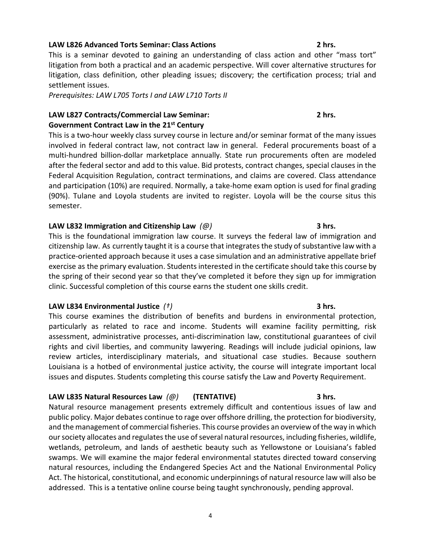### **LAW L826 Advanced Torts Seminar: Class Actions 2 hrs.**

This is a seminar devoted to gaining an understanding of class action and other "mass tort" litigation from both a practical and an academic perspective. Will cover alternative structures for litigation, class definition, other pleading issues; discovery; the certification process; trial and settlement issues.

*Prerequisites: LAW L705 Torts I and LAW L710 Torts II*

# **LAW L827 Contracts/Commercial Law Seminar: 2 hrs.**

### **Government Contract Law in the 21st Century**

This is a two-hour weekly class survey course in lecture and/or seminar format of the many issues involved in federal contract law, not contract law in general. Federal procurements boast of a multi-hundred billion-dollar marketplace annually. State run procurements often are modeled after the federal sector and add to this value. Bid protests, contract changes, special clauses in the Federal Acquisition Regulation, contract terminations, and claims are covered. Class attendance and participation (10%) are required. Normally, a take-home exam option is used for final grading (90%). Tulane and Loyola students are invited to register. Loyola will be the course situs this semester.

### **LAW L832 Immigration and Citizenship Law** *(@)* **3 hrs.**

This is the foundational immigration law course. It surveys the federal law of immigration and citizenship law. As currently taught it is a course that integrates the study of substantive law with a practice-oriented approach because it uses a case simulation and an administrative appellate brief exercise as the primary evaluation. Students interested in the certificate should take this course by the spring of their second year so that they've completed it before they sign up for immigration clinic. Successful completion of this course earns the student one skills credit.

### **LAW L834 Environmental Justice** *(†)* **3 hrs.**

This course examines the distribution of benefits and burdens in environmental protection, particularly as related to race and income. Students will examine facility permitting, risk assessment, administrative processes, anti-discrimination law, constitutional guarantees of civil rights and civil liberties, and community lawyering. Readings will include judicial opinions, law review articles, interdisciplinary materials, and situational case studies. Because southern Louisiana is a hotbed of environmental justice activity, the course will integrate important local issues and disputes. Students completing this course satisfy the Law and Poverty Requirement.

### **LAW L835 Natural Resources Law** *(@)* **(TENTATIVE) 3 hrs.**

Natural resource management presents extremely difficult and contentious issues of law and public policy. Major debates continue to rage over offshore drilling, the protection for biodiversity, and the management of commercial fisheries. This course provides an overview of the way in which our society allocates and regulates the use of several natural resources, including fisheries, wildlife, wetlands, petroleum, and lands of aesthetic beauty such as Yellowstone or Louisiana's fabled swamps. We will examine the major federal environmental statutes directed toward conserving natural resources, including the Endangered Species Act and the National Environmental Policy Act. The historical, constitutional, and economic underpinnings of natural resource law will also be addressed. This is a tentative online course being taught synchronously, pending approval.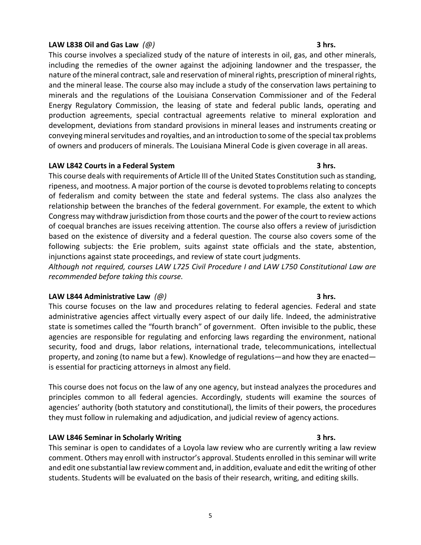### **LAW L838 Oil and Gas Law** *(@)* **3 hrs.**

This course involves a specialized study of the nature of interests in oil, gas, and other minerals, including the remedies of the owner against the adjoining landowner and the trespasser, the nature of the mineral contract, sale and reservation of mineral rights, prescription of mineral rights, and the mineral lease. The course also may include a study of the conservation laws pertaining to minerals and the regulations of the Louisiana Conservation Commissioner and of the Federal Energy Regulatory Commission, the leasing of state and federal public lands, operating and production agreements, special contractual agreements relative to mineral exploration and development, deviations from standard provisions in mineral leases and instruments creating or conveying mineral servitudes and royalties, and an introduction to some of the special tax problems of owners and producers of minerals. The Louisiana Mineral Code is given coverage in all areas.

### **LAW L842 Courts in a Federal System 3 hrs.**

This course deals with requirements of Article III of the United States Constitution such as standing, ripeness, and mootness. A major portion of the course is devoted toproblems relating to concepts of federalism and comity between the state and federal systems. The class also analyzes the relationship between the branches of the federal government. For example, the extent to which Congress may withdraw jurisdiction from those courts and the power of the court to review actions of coequal branches are issues receiving attention. The course also offers a review of jurisdiction based on the existence of diversity and a federal question. The course also covers some of the following subjects: the Erie problem, suits against state officials and the state, abstention, injunctions against state proceedings, and review of state court judgments.

*Although not required, courses LAW L725 Civil Procedure I and LAW L750 Constitutional Law are recommended before taking this course.*

### **LAW L844 Administrative Law** *(@)* **3 hrs.**

This course focuses on the law and procedures relating to federal agencies. Federal and state administrative agencies affect virtually every aspect of our daily life. Indeed, the administrative state is sometimes called the "fourth branch" of government. Often invisible to the public, these agencies are responsible for regulating and enforcing laws regarding the environment, national security, food and drugs, labor relations, international trade, telecommunications, intellectual property, and zoning (to name but a few). Knowledge of regulations—and how they are enacted is essential for practicing attorneys in almost any field.

This course does not focus on the law of any one agency, but instead analyzes the procedures and principles common to all federal agencies. Accordingly, students will examine the sources of agencies' authority (both statutory and constitutional), the limits of their powers, the procedures they must follow in rulemaking and adjudication, and judicial review of agency actions.

### **LAW L846 Seminar in Scholarly Writing 3 hrs.**

This seminar is open to candidates of a Loyola law review who are currently writing a law review comment. Others may enroll with instructor's approval. Students enrolled in this seminar will write and edit one substantial law review comment and, in addition, evaluate and editthe writing of other students. Students will be evaluated on the basis of their research, writing, and editing skills.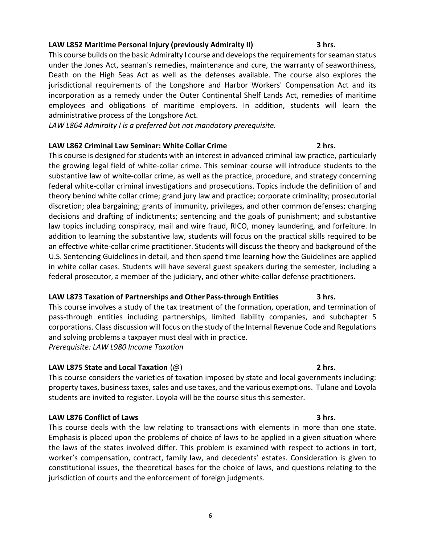### **LAW L852 Maritime Personal Injury (previously Admiralty II) 3 hrs.**

This course builds on the basic Admiralty I course and develops the requirements for seaman status under the Jones Act, seaman's remedies, maintenance and cure, the warranty of seaworthiness, Death on the High Seas Act as well as the defenses available. The course also explores the jurisdictional requirements of the Longshore and Harbor Workers' Compensation Act and its incorporation as a remedy under the Outer Continental Shelf Lands Act, remedies of maritime employees and obligations of maritime employers. In addition, students will learn the administrative process of the Longshore Act.

*LAW L864 Admiralty I is a preferred but not mandatory prerequisite.*

### **LAW L862 Criminal Law Seminar: White Collar Crime 2 hrs.**

This course is designed for students with an interest in advanced criminal law practice, particularly the growing legal field of white-collar crime. This seminar course will introduce students to the substantive law of white-collar crime, as well as the practice, procedure, and strategy concerning federal white-collar criminal investigations and prosecutions. Topics include the definition of and theory behind white collar crime; grand jury law and practice; corporate criminality; prosecutorial discretion; plea bargaining; grants of immunity, privileges, and other common defenses; charging decisions and drafting of indictments; sentencing and the goals of punishment; and substantive law topics including conspiracy, mail and wire fraud, RICO, money laundering, and forfeiture. In addition to learning the substantive law, students will focus on the practical skills required to be an effective white-collar crime practitioner. Students will discuss the theory and background of the U.S. Sentencing Guidelines in detail, and then spend time learning how the Guidelines are applied in white collar cases. Students will have several guest speakers during the semester, including a federal prosecutor, a member of the judiciary, and other white-collar defense practitioners.

### **LAW L873 Taxation of Partnerships and Other Pass-through Entities 3 hrs.**

This course involves a study of the tax treatment of the formation, operation, and termination of pass-through entities including partnerships, limited liability companies, and subchapter S corporations. Class discussion will focus on the study of the Internal Revenue Code and Regulations and solving problems a taxpayer must deal with in practice. *Prerequisite: LAW L980 Income Taxation*

### **LAW L875 State and Local Taxation** (@) **2 hrs.**

This course considers the varieties of taxation imposed by state and local governments including: property taxes, business taxes, sales and use taxes, and the various exemptions. Tulane and Loyola students are invited to register. Loyola will be the course situs this semester.

### **LAW L876 Conflict of Laws 3 hrs.**

This course deals with the law relating to transactions with elements in more than one state. Emphasis is placed upon the problems of choice of laws to be applied in a given situation where the laws of the states involved differ. This problem is examined with respect to actions in tort, worker's compensation, contract, family law, and decedents' estates. Consideration is given to constitutional issues, the theoretical bases for the choice of laws, and questions relating to the jurisdiction of courts and the enforcement of foreign judgments.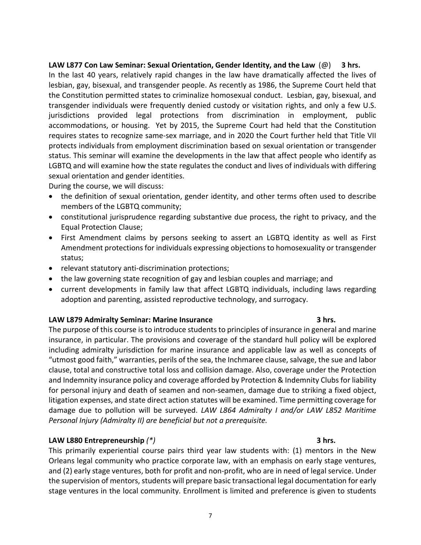In the last 40 years, relatively rapid changes in the law have dramatically affected the lives of lesbian, gay, bisexual, and transgender people. As recently as 1986, the Supreme Court held that the Constitution permitted states to criminalize homosexual conduct. Lesbian, gay, bisexual, and transgender individuals were frequently denied custody or visitation rights, and only a few U.S. jurisdictions provided legal protections from discrimination in employment, public accommodations, or housing. Yet by 2015, the Supreme Court had held that the Constitution requires states to recognize same-sex marriage, and in 2020 the Court further held that Title VII protects individuals from employment discrimination based on sexual orientation or transgender status. This seminar will examine the developments in the law that affect people who identify as LGBTQ and will examine how the state regulates the conduct and lives of individuals with differing sexual orientation and gender identities.

During the course, we will discuss:

- the definition of sexual orientation, gender identity, and other terms often used to describe members of the LGBTQ community;
- constitutional jurisprudence regarding substantive due process, the right to privacy, and the Equal Protection Clause;
- First Amendment claims by persons seeking to assert an LGBTQ identity as well as First Amendment protections for individuals expressing objections to homosexuality or transgender status;
- relevant statutory anti-discrimination protections;
- the law governing state recognition of gay and lesbian couples and marriage; and
- current developments in family law that affect LGBTQ individuals, including laws regarding adoption and parenting, assisted reproductive technology, and surrogacy.

### **LAW L879 Admiralty Seminar: Marine Insurance 3 hrs.**

The purpose of this course is to introduce students to principles of insurance in general and marine insurance, in particular. The provisions and coverage of the standard hull policy will be explored including admiralty jurisdiction for marine insurance and applicable law as well as concepts of "utmost good faith," warranties, perils of the sea, the Inchmaree clause, salvage, the sue and labor clause, total and constructive total loss and collision damage. Also, coverage under the Protection and Indemnity insurance policy and coverage afforded by Protection & Indemnity Clubs for liability for personal injury and death of seamen and non-seamen, damage due to striking a fixed object, litigation expenses, and state direct action statutes will be examined. Time permitting coverage for damage due to pollution will be surveyed. *LAW L864 Admiralty I and/or LAW L852 Maritime Personal Injury (Admiralty II) are beneficial but not a prerequisite.*

### **LAW L880 Entrepreneurship** *(\*)* **3 hrs.**

This primarily experiential course pairs third year law students with: (1) mentors in the New Orleans legal community who practice corporate law, with an emphasis on early stage ventures, and (2) early stage ventures, both for profit and non-profit, who are in need of legal service. Under the supervision of mentors, students will prepare basic transactional legal documentation for early stage ventures in the local community. Enrollment is limited and preference is given to students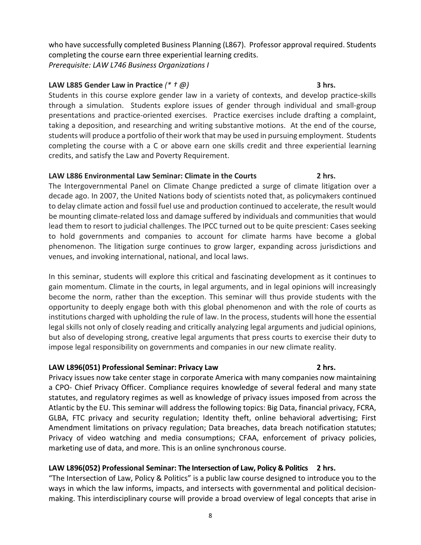who have successfully completed Business Planning (L867). Professor approval required. Students completing the course earn three experiential learning credits. *Prerequisite: LAW L746 Business Organizations I*

### **LAW L885 Gender Law in Practice** *(\* † @)* **3 hrs.**

Students in this course explore gender law in a variety of contexts, and develop practice-skills through a simulation. Students explore issues of gender through individual and small-group presentations and practice-oriented exercises. Practice exercises include drafting a complaint, taking a deposition, and researching and writing substantive motions. At the end of the course, students will produce a portfolio of their work that may be used in pursuing employment. Students completing the course with a C or above earn one skills credit and three experiential learning credits, and satisfy the Law and Poverty Requirement.

### **LAW L886 Environmental Law Seminar: Climate in the Courts 2 hrs.**

The Intergovernmental Panel on Climate Change predicted a surge of climate litigation over a decade ago. In 2007, the United Nations body of scientists noted that, as policymakers continued to delay climate action and fossil fuel use and production continued to accelerate, the result would be mounting climate-related loss and damage suffered by individuals and communities that would lead them to resort to judicial challenges. The IPCC turned out to be quite prescient: Cases seeking to hold governments and companies to account for climate harms have become a global phenomenon. The litigation surge continues to grow larger, expanding across jurisdictions and venues, and invoking international, national, and local laws.

In this seminar, students will explore this critical and fascinating development as it continues to gain momentum. Climate in the courts, in legal arguments, and in legal opinions will increasingly become the norm, rather than the exception. This seminar will thus provide students with the opportunity to deeply engage both with this global phenomenon and with the role of courts as institutions charged with upholding the rule of law. In the process, students will hone the essential legal skills not only of closely reading and critically analyzing legal arguments and judicial opinions, but also of developing strong, creative legal arguments that press courts to exercise their duty to impose legal responsibility on governments and companies in our new climate reality.

### **LAW L896(051) Professional Seminar: Privacy Law 2 hrs.**

Privacy issues now take center stage in corporate America with many companies now maintaining a CPO- Chief Privacy Officer. Compliance requires knowledge of several federal and many state statutes, and regulatory regimes as well as knowledge of privacy issues imposed from across the Atlantic by the EU. This seminar will address the following topics: Big Data, financial privacy, FCRA, GLBA, FTC privacy and security regulation; Identity theft, online behavioral advertising; First Amendment limitations on privacy regulation; Data breaches, data breach notification statutes; Privacy of video watching and media consumptions; CFAA, enforcement of privacy policies, marketing use of data, and more. This is an online synchronous course.

### **LAW L896(052) Professional Seminar: The Intersection of Law, Policy & Politics 2 hrs.**

"The Intersection of Law, Policy & Politics" is a public law course designed to introduce you to the ways in which the law informs, impacts, and intersects with governmental and political decisionmaking. This interdisciplinary course will provide a broad overview of legal concepts that arise in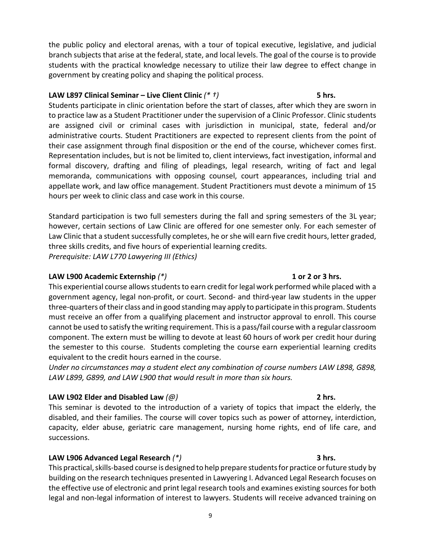the public policy and electoral arenas, with a tour of topical executive, legislative, and judicial branch subjects that arise at the federal, state, and local levels. The goal of the course is to provide students with the practical knowledge necessary to utilize their law degree to effect change in government by creating policy and shaping the political process.

## **LAW L897 Clinical Seminar – Live Client Clinic** *(\* †)* **5 hrs.**

Students participate in clinic orientation before the start of classes, after which they are sworn in to practice law as a Student Practitioner under the supervision of a Clinic Professor. Clinic students are assigned civil or criminal cases with jurisdiction in municipal, state, federal and/or administrative courts. Student Practitioners are expected to represent clients from the point of their case assignment through final disposition or the end of the course, whichever comes first. Representation includes, but is not be limited to, client interviews, fact investigation, informal and formal discovery, drafting and filing of pleadings, legal research, writing of fact and legal memoranda, communications with opposing counsel, court appearances, including trial and appellate work, and law office management. Student Practitioners must devote a minimum of 15 hours per week to clinic class and case work in this course.

Standard participation is two full semesters during the fall and spring semesters of the 3L year; however, certain sections of Law Clinic are offered for one semester only. For each semester of Law Clinic that a student successfully completes, he or she will earn five credit hours, letter graded, three skills credits, and five hours of experiential learning credits. *Prerequisite: LAW L770 Lawyering III (Ethics)*

# **LAW L900 Academic Externship** *(\*)* **1 or 2 or 3 hrs.**

This experiential course allows students to earn credit for legal work performed while placed with a government agency, legal non-profit, or court. Second- and third-year law students in the upper three-quarters of their class and in good standing may apply to participate in this program. Students must receive an offer from a qualifying placement and instructor approval to enroll. This course cannot be used to satisfy the writing requirement. This is a pass/fail course with a regular classroom component. The extern must be willing to devote at least 60 hours of work per credit hour during the semester to this course. Students completing the course earn experiential learning credits equivalent to the credit hours earned in the course.

*Under no circumstances may a student elect any combination of course numbers LAW L898, G898, LAW L899, G899, and LAW L900 that would result in more than six hours.*

# **LAW L902 Elder and Disabled Law** *(@)* **2 hrs.**

This seminar is devoted to the introduction of a variety of topics that impact the elderly, the disabled, and their families. The course will cover topics such as power of attorney, interdiction, capacity, elder abuse, geriatric care management, nursing home rights, end of life care, and successions.

# **LAW L906 Advanced Legal Research** *(\*)* **3 hrs.**

This practical, skills-based course is designed to help prepare students for practice or future study by building on the research techniques presented in Lawyering I. Advanced Legal Research focuses on the effective use of electronic and print legal research tools and examines existing sources for both legal and non-legal information of interest to lawyers. Students will receive advanced training on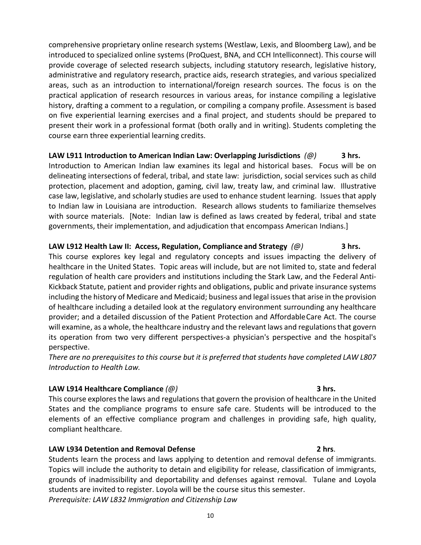comprehensive proprietary online research systems (Westlaw, Lexis, and Bloomberg Law), and be introduced to specialized online systems (ProQuest, BNA, and CCH Intelliconnect). This course will provide coverage of selected research subjects, including statutory research, legislative history, administrative and regulatory research, practice aids, research strategies, and various specialized areas, such as an introduction to international/foreign research sources. The focus is on the practical application of research resources in various areas, for instance compiling a legislative history, drafting a comment to a regulation, or compiling a company profile. Assessment is based on five experiential learning exercises and a final project, and students should be prepared to present their work in a professional format (both orally and in writing). Students completing the course earn three experiential learning credits.

**LAW L911 Introduction to American Indian Law: Overlapping Jurisdictions** *(@)* **3 hrs.** Introduction to American Indian law examines its legal and historical bases. Focus will be on delineating intersections of federal, tribal, and state law: jurisdiction, social services such as child protection, placement and adoption, gaming, civil law, treaty law, and criminal law. Illustrative case law, legislative, and scholarly studies are used to enhance student learning. Issues that apply to Indian law in Louisiana are introduction. Research allows students to familiarize themselves with source materials. [Note: Indian law is defined as laws created by federal, tribal and state governments, their implementation, and adjudication that encompass American Indians.]

### **LAW L912 Health Law II: Access, Regulation, Compliance and Strategy** *(@)* **3 hrs.** This course explores key legal and regulatory concepts and issues impacting the delivery of healthcare in the United States. Topic areas will include, but are not limited to, state and federal regulation of health care providers and institutions including the Stark Law, and the Federal Anti-Kickback Statute, patient and provider rights and obligations, public and private insurance systems including the history of Medicare and Medicaid; business and legal issues that arise in the provision of healthcare including a detailed look at the regulatory environment surrounding any healthcare provider; and a detailed discussion of the Patient Protection and AffordableCare Act. The course will examine, as a whole, the healthcare industry and the relevant laws and regulations that govern its operation from two very different perspectives-a physician's perspective and the hospital's perspective.

*There are no prerequisites to this course but it is preferred that students have completed LAW L807 Introduction to Health Law.*

### **LAW L914 Healthcare Compliance** *(@)* **3 hrs.**

This course explores the laws and regulations that govern the provision of healthcare in the United States and the compliance programs to ensure safe care. Students will be introduced to the elements of an effective compliance program and challenges in providing safe, high quality, compliant healthcare.

### **LAW L934 Detention and Removal Defense 2 hrs**.

Students learn the process and laws applying to detention and removal defense of immigrants. Topics will include the authority to detain and eligibility for release, classification of immigrants, grounds of inadmissibility and deportability and defenses against removal. Tulane and Loyola students are invited to register. Loyola will be the course situs this semester. *Prerequisite: LAW L832 Immigration and Citizenship Law*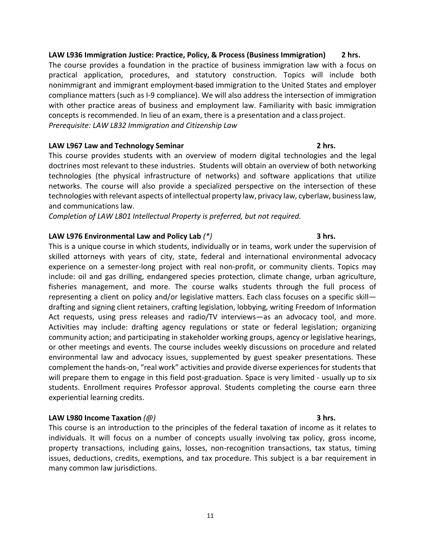**LAW L936 Immigration Justice: Practice, Policy, & Process (Business Immigration) 2 hrs.** The course provides a foundation in the practice of business immigration law with a focus on practical application, procedures, and statutory construction. Topics will include both nonimmigrant and immigrant employment-based immigration to the United States and employer compliance matters (such as I-9 compliance). We will also address the intersection of immigration with other practice areas of business and employment law. Familiarity with basic immigration concepts is recommended. In lieu of an exam, there is a presentation and a class project. *Prerequisite: LAW L832 Immigration and Citizenship Law*

## **LAW L967 Law and Technology Seminar 2 hrs.**

This course provides students with an overview of modern digital technologies and the legal doctrines most relevant to these industries. Students will obtain an overview of both networking technologies (the physical infrastructure of networks) and software applications that utilize networks. The course will also provide a specialized perspective on the intersection of these technologies with relevant aspects of intellectual property law, privacy law, cyberlaw, business law, and communications law.

*Completion of LAW L801 Intellectual Property is preferred, but not required.*

# **LAW L976 Environmental Law and Policy Lab** *(\*)* **3 hrs.**

This is a unique course in which students, individually or in teams, work under the supervision of skilled attorneys with years of city, state, federal and international environmental advocacy experience on a semester-long project with real non-profit, or community clients. Topics may include: oil and gas drilling, endangered species protection, climate change, urban agriculture, fisheries management, and more. The course walks students through the full process of representing a client on policy and/or legislative matters. Each class focuses on a specific skill drafting and signing client retainers, crafting legislation, lobbying, writing Freedom of Information Act requests, using press releases and radio/TV interviews—as an advocacy tool, and more. Activities may include: drafting agency regulations or state or federal legislation; organizing community action; and participating in stakeholder working groups, agency or legislative hearings, or other meetings and events. The course includes weekly discussions on procedure and related environmental law and advocacy issues, supplemented by guest speaker presentations. These complement the hands-on, "real work" activities and provide diverse experiences for students that will prepare them to engage in this field post-graduation. Space is very limited - usually up to six students. Enrollment requires Professor approval. Students completing the course earn three experiential learning credits.

# **LAW L980 Income Taxation** *(@)* **3 hrs.**

This course is an introduction to the principles of the federal taxation of income as it relates to individuals. It will focus on a number of concepts usually involving tax policy, gross income, property transactions, including gains, losses, non-recognition transactions, tax status, timing issues, deductions, credits, exemptions, and tax procedure. This subject is a bar requirement in many common law jurisdictions.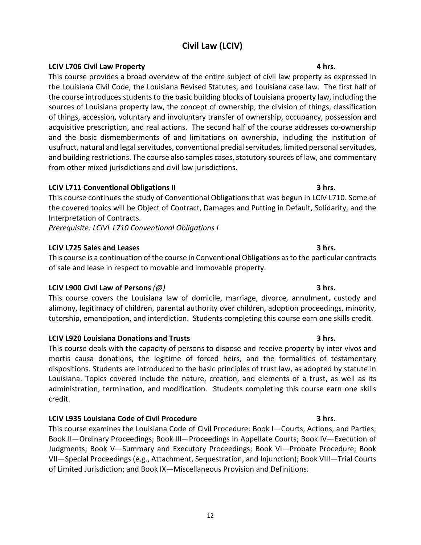# 12

# **Civil Law (LCIV)**

### **LCIV L706 Civil Law Property 4 hrs.**

This course provides a broad overview of the entire subject of civil law property as expressed in the Louisiana Civil Code, the Louisiana Revised Statutes, and Louisiana case law. The first half of the course introduces students to the basic building blocks of Louisiana property law, including the sources of Louisiana property law, the concept of ownership, the division of things, classification of things, accession, voluntary and involuntary transfer of ownership, occupancy, possession and acquisitive prescription, and real actions. The second half of the course addresses co-ownership and the basic dismemberments of and limitations on ownership, including the institution of usufruct, natural and legal servitudes, conventional predial servitudes, limited personal servitudes, and building restrictions. The course also samples cases, statutory sources of law, and commentary from other mixed jurisdictions and civil law jurisdictions.

### **LCIV L711 Conventional Obligations II 3 hrs.**

This course continues the study of Conventional Obligations that was begun in LCIV L710. Some of the covered topics will be Object of Contract, Damages and Putting in Default, Solidarity, and the Interpretation of Contracts.

*Prerequisite: LCIVL L710 Conventional Obligations I*

### **LCIV L725 Sales and Leases 3 hrs.**

This course is a continuation of the course in Conventional Obligations as to the particular contracts of sale and lease in respect to movable and immovable property.

### **LCIV L900 Civil Law of Persons** *(@)* **3 hrs.**

This course covers the Louisiana law of domicile, marriage, divorce, annulment, custody and alimony, legitimacy of children, parental authority over children, adoption proceedings, minority, tutorship, emancipation, and interdiction. Students completing this course earn one skills credit.

### **LCIV L920 Louisiana Donations and Trusts 3 hrs.**

This course deals with the capacity of persons to dispose and receive property by inter vivos and mortis causa donations, the legitime of forced heirs, and the formalities of testamentary dispositions. Students are introduced to the basic principles of trust law, as adopted by statute in Louisiana. Topics covered include the nature, creation, and elements of a trust, as well as its administration, termination, and modification. Students completing this course earn one skills credit.

### **LCIV L935 Louisiana Code of Civil Procedure 3 hrs.**

This course examines the Louisiana Code of Civil Procedure: Book I—Courts, Actions, and Parties; Book II—Ordinary Proceedings; Book III—Proceedings in Appellate Courts; Book IV—Execution of Judgments; Book V—Summary and Executory Proceedings; Book VI—Probate Procedure; Book VII—Special Proceedings (e.g., Attachment, Sequestration, and Injunction); Book VIII—Trial Courts of Limited Jurisdiction; and Book IX—Miscellaneous Provision and Definitions.